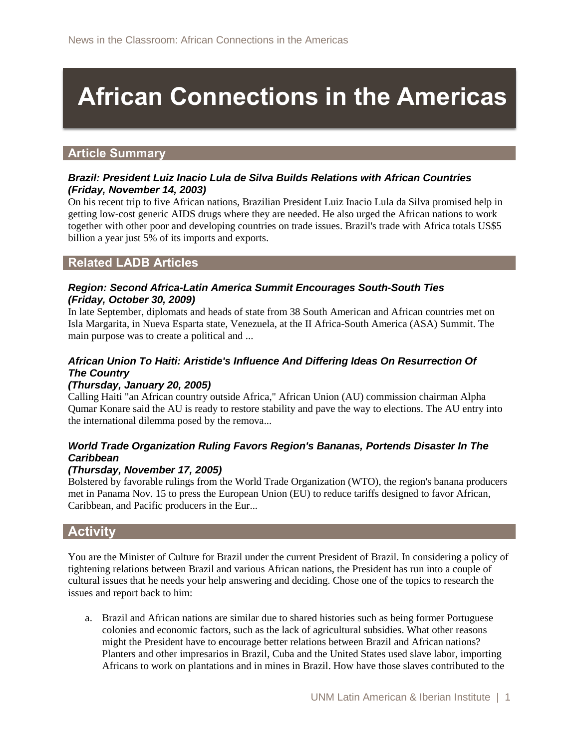# **African Connections in the Americas**

## **Article Summary**

#### *Brazil: President Luiz Inacio Lula de Silva Builds Relations with African Countries (Friday, November 14, 2003)*

On his recent trip to five African nations, Brazilian President Luiz Inacio Lula da Silva promised help in getting low-cost generic AIDS drugs where they are needed. He also urged the African nations to work together with other poor and developing countries on trade issues. Brazil's trade with Africa totals US\$5 billion a year just 5% of its imports and exports.

## **Related LADB Articles**

#### *Region: Second Africa-Latin America Summit Encourages South-South Ties (Friday, October 30, 2009)*

In late September, diplomats and heads of state from 38 South American and African countries met on Isla Margarita, in Nueva Esparta state, Venezuela, at the II Africa-South America (ASA) Summit. The main purpose was to create a political and ...

## *African Union To Haiti: Aristide's Influence And Differing Ideas On Resurrection Of The Country*

#### *(Thursday, January 20, 2005)*

Calling Haiti "an African country outside Africa," African Union (AU) commission chairman Alpha Qumar Konare said the AU is ready to restore stability and pave the way to elections. The AU entry into the international dilemma posed by the remova...

## *World Trade Organization Ruling Favors Region's Bananas, Portends Disaster In The Caribbean*

## *(Thursday, November 17, 2005)*

Bolstered by favorable rulings from the World Trade Organization (WTO), the region's banana producers met in Panama Nov. 15 to press the European Union (EU) to reduce tariffs designed to favor African, Caribbean, and Pacific producers in the Eur...

## **Activity**

You are the Minister of Culture for Brazil under the current President of Brazil. In considering a policy of tightening relations between Brazil and various African nations, the President has run into a couple of cultural issues that he needs your help answering and deciding. Chose one of the topics to research the issues and report back to him:

a. Brazil and African nations are similar due to shared histories such as being former Portuguese colonies and economic factors, such as the lack of agricultural subsidies. What other reasons might the President have to encourage better relations between Brazil and African nations? Planters and other impresarios in Brazil, Cuba and the United States used slave labor, importing Africans to work on plantations and in mines in Brazil. How have those slaves contributed to the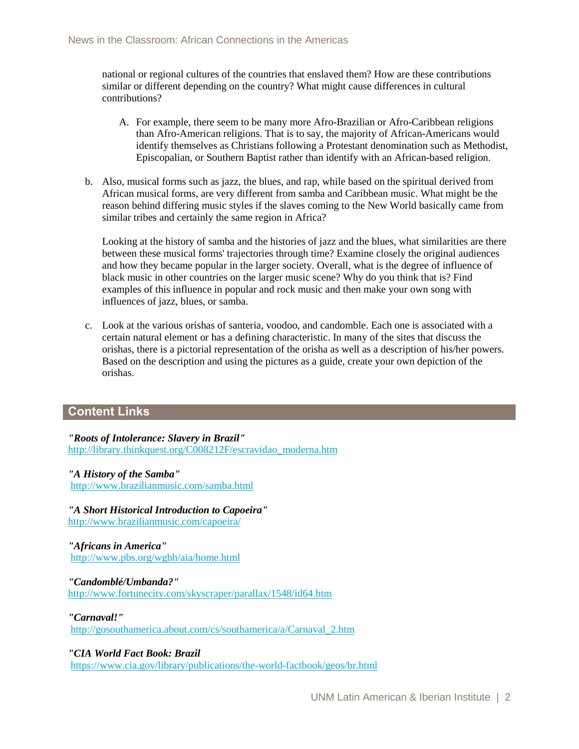national or regional cultures of the countries that enslaved them? How are these contributions similar or different depending on the country? What might cause differences in cultural contributions?

- A. For example, there seem to be many more Afro-Brazilian or Afro-Caribbean religions than Afro-American religions. That is to say, the majority of African-Americans would identify themselves as Christians following a Protestant denomination such as Methodist, Episcopalian, or Southern Baptist rather than identify with an African-based religion.
- b. Also, musical forms such as jazz, the blues, and rap, while based on the spiritual derived from African musical forms, are very different from samba and Caribbean music. What might be the reason behind differing music styles if the slaves coming to the New World basically came from similar tribes and certainly the same region in Africa?

Looking at the history of samba and the histories of jazz and the blues, what similarities are there between these musical forms' trajectories through time? Examine closely the original audiences and how they became popular in the larger society. Overall, what is the degree of influence of black music in other countries on the larger music scene? Why do you think that is? Find examples of this influence in popular and rock music and then make your own song with influences of jazz, blues, or samba.

c. Look at the various orishas of santeria, voodoo, and candomble. Each one is associated with a certain natural element or has a defining characteristic. In many of the sites that discuss the orishas, there is a pictorial representation of the orisha as well as a description of his/her powers. Based on the description and using the pictures as a guide, create your own depiction of the orishas.

## **Content Links**

*"Roots of Intolerance: Slavery in Brazil"*  [http://library.thinkquest.org/C008212F/escravidao\\_moderna.htm](http://library.thinkquest.org/C008212F/escravidao_moderna.htm)

## *"A History of the Samba"*

<http://www.brazilianmusic.com/samba.html>

*"A Short Historical Introduction to Capoeira"*  <http://www.brazilianmusic.com/capoeira/>

#### *"Africans in America"* <http://www.pbs.org/wgbh/aia/home.html>

*"Candomblé/Umbanda?"*  <http://www.fortunecity.com/skyscraper/parallax/1548/id64.htm>

*"Carnaval!"* 

[http://gosouthamerica.about.com/cs/southamerica/a/Carnaval\\_2.htm](http://gosouthamerica.about.com/cs/southamerica/a/Carnaval_2.htm)

#### *"CIA World Fact Book: Brazil*

<https://www.cia.gov/library/publications/the-world-factbook/geos/br.html>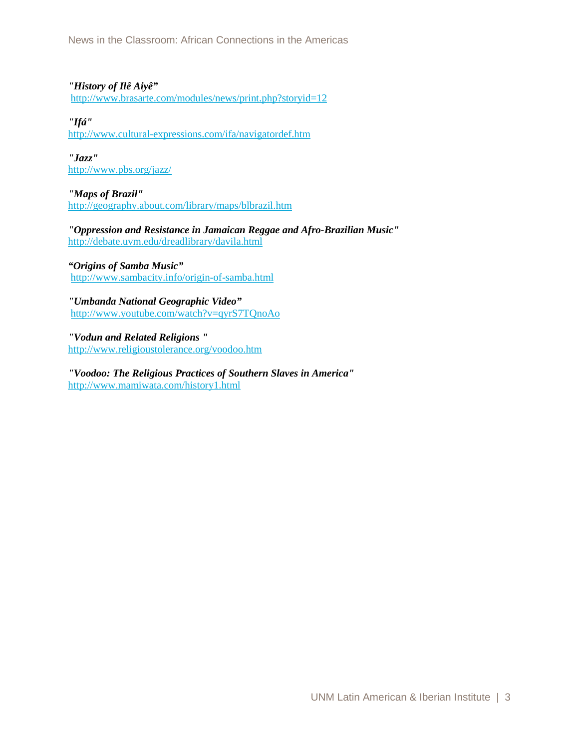News in the Classroom: African Connections in the Americas

#### *"History of Ilê Aiyê"*

<http://www.brasarte.com/modules/news/print.php?storyid=12>

#### *"Ifá"*

<http://www.cultural-expressions.com/ifa/navigatordef.htm>

*"Jazz"*  <http://www.pbs.org/jazz/>

## *"Maps of Brazil"*

<http://geography.about.com/library/maps/blbrazil.htm>

*"Oppression and Resistance in Jamaican Reggae and Afro-Brazilian Music"*  <http://debate.uvm.edu/dreadlibrary/davila.html>

#### *"Origins of Samba Music"* <http://www.sambacity.info/origin-of-samba.html>

*"Umbanda National Geographic Video"*  <http://www.youtube.com/watch?v=qyrS7TQnoAo>

*"Vodun and Related Religions "*  <http://www.religioustolerance.org/voodoo.htm>

*"Voodoo: The Religious Practices of Southern Slaves in America"*  <http://www.mamiwata.com/history1.html>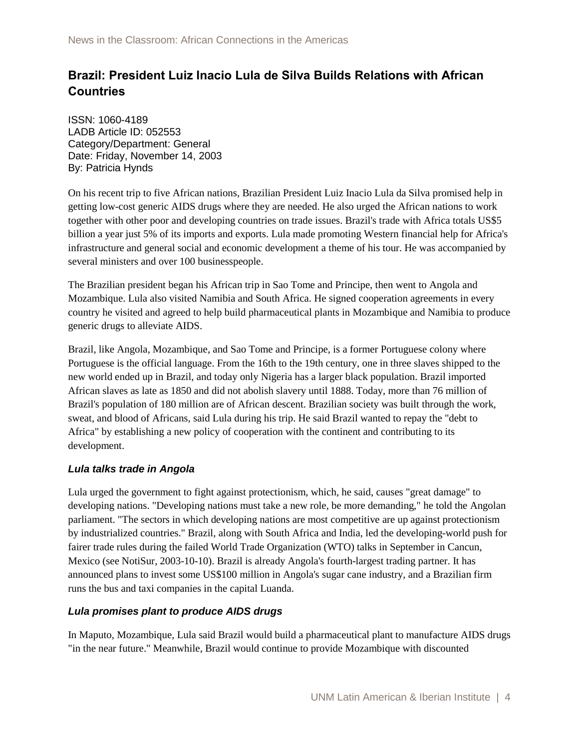# **Brazil: President Luiz Inacio Lula de Silva Builds Relations with African Countries**

ISSN: 1060-4189 LADB Article ID: 052553 Category/Department: General Date: Friday, November 14, 2003 By: Patricia Hynds

On his recent trip to five African nations, Brazilian President Luiz Inacio Lula da Silva promised help in getting low-cost generic AIDS drugs where they are needed. He also urged the African nations to work together with other poor and developing countries on trade issues. Brazil's trade with Africa totals US\$5 billion a year just 5% of its imports and exports. Lula made promoting Western financial help for Africa's infrastructure and general social and economic development a theme of his tour. He was accompanied by several ministers and over 100 businesspeople.

The Brazilian president began his African trip in Sao Tome and Principe, then went to Angola and Mozambique. Lula also visited Namibia and South Africa. He signed cooperation agreements in every country he visited and agreed to help build pharmaceutical plants in Mozambique and Namibia to produce generic drugs to alleviate AIDS.

Brazil, like Angola, Mozambique, and Sao Tome and Principe, is a former Portuguese colony where Portuguese is the official language. From the 16th to the 19th century, one in three slaves shipped to the new world ended up in Brazil, and today only Nigeria has a larger black population. Brazil imported African slaves as late as 1850 and did not abolish slavery until 1888. Today, more than 76 million of Brazil's population of 180 million are of African descent. Brazilian society was built through the work, sweat, and blood of Africans, said Lula during his trip. He said Brazil wanted to repay the "debt to Africa" by establishing a new policy of cooperation with the continent and contributing to its development.

## *Lula talks trade in Angola*

Lula urged the government to fight against protectionism, which, he said, causes "great damage" to developing nations. "Developing nations must take a new role, be more demanding," he told the Angolan parliament. "The sectors in which developing nations are most competitive are up against protectionism by industrialized countries." Brazil, along with South Africa and India, led the developing-world push for fairer trade rules during the failed World Trade Organization (WTO) talks in September in Cancun, Mexico (see NotiSur, 2003-10-10). Brazil is already Angola's fourth-largest trading partner. It has announced plans to invest some US\$100 million in Angola's sugar cane industry, and a Brazilian firm runs the bus and taxi companies in the capital Luanda.

## *Lula promises plant to produce AIDS drugs*

In Maputo, Mozambique, Lula said Brazil would build a pharmaceutical plant to manufacture AIDS drugs "in the near future." Meanwhile, Brazil would continue to provide Mozambique with discounted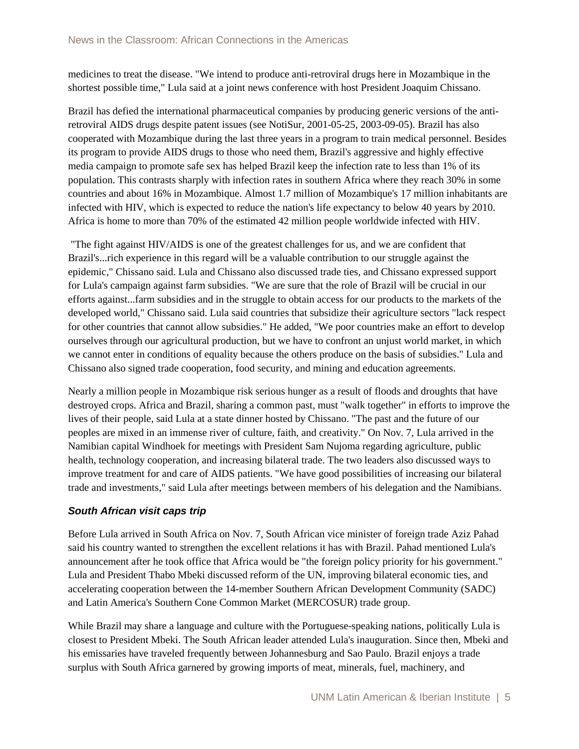medicines to treat the disease. "We intend to produce anti-retroviral drugs here in Mozambique in the shortest possible time," Lula said at a joint news conference with host President Joaquim Chissano.

Brazil has defied the international pharmaceutical companies by producing generic versions of the antiretroviral AIDS drugs despite patent issues (see NotiSur, 2001-05-25, 2003-09-05). Brazil has also cooperated with Mozambique during the last three years in a program to train medical personnel. Besides its program to provide AIDS drugs to those who need them, Brazil's aggressive and highly effective media campaign to promote safe sex has helped Brazil keep the infection rate to less than 1% of its population. This contrasts sharply with infection rates in southern Africa where they reach 30% in some countries and about 16% in Mozambique. Almost 1.7 million of Mozambique's 17 million inhabitants are infected with HIV, which is expected to reduce the nation's life expectancy to below 40 years by 2010. Africa is home to more than 70% of the estimated 42 million people worldwide infected with HIV.

"The fight against HIV/AIDS is one of the greatest challenges for us, and we are confident that Brazil's...rich experience in this regard will be a valuable contribution to our struggle against the epidemic," Chissano said. Lula and Chissano also discussed trade ties, and Chissano expressed support for Lula's campaign against farm subsidies. "We are sure that the role of Brazil will be crucial in our efforts against...farm subsidies and in the struggle to obtain access for our products to the markets of the developed world," Chissano said. Lula said countries that subsidize their agriculture sectors "lack respect for other countries that cannot allow subsidies." He added, "We poor countries make an effort to develop ourselves through our agricultural production, but we have to confront an unjust world market, in which we cannot enter in conditions of equality because the others produce on the basis of subsidies." Lula and Chissano also signed trade cooperation, food security, and mining and education agreements.

Nearly a million people in Mozambique risk serious hunger as a result of floods and droughts that have destroyed crops. Africa and Brazil, sharing a common past, must "walk together" in efforts to improve the lives of their people, said Lula at a state dinner hosted by Chissano. "The past and the future of our peoples are mixed in an immense river of culture, faith, and creativity." On Nov. 7, Lula arrived in the Namibian capital Windhoek for meetings with President Sam Nujoma regarding agriculture, public health, technology cooperation, and increasing bilateral trade. The two leaders also discussed ways to improve treatment for and care of AIDS patients. "We have good possibilities of increasing our bilateral trade and investments," said Lula after meetings between members of his delegation and the Namibians.

## *South African visit caps trip*

Before Lula arrived in South Africa on Nov. 7, South African vice minister of foreign trade Aziz Pahad said his country wanted to strengthen the excellent relations it has with Brazil. Pahad mentioned Lula's announcement after he took office that Africa would be "the foreign policy priority for his government." Lula and President Thabo Mbeki discussed reform of the UN, improving bilateral economic ties, and accelerating cooperation between the 14-member Southern African Development Community (SADC) and Latin America's Southern Cone Common Market (MERCOSUR) trade group.

While Brazil may share a language and culture with the Portuguese-speaking nations, politically Lula is closest to President Mbeki. The South African leader attended Lula's inauguration. Since then, Mbeki and his emissaries have traveled frequently between Johannesburg and Sao Paulo. Brazil enjoys a trade surplus with South Africa garnered by growing imports of meat, minerals, fuel, machinery, and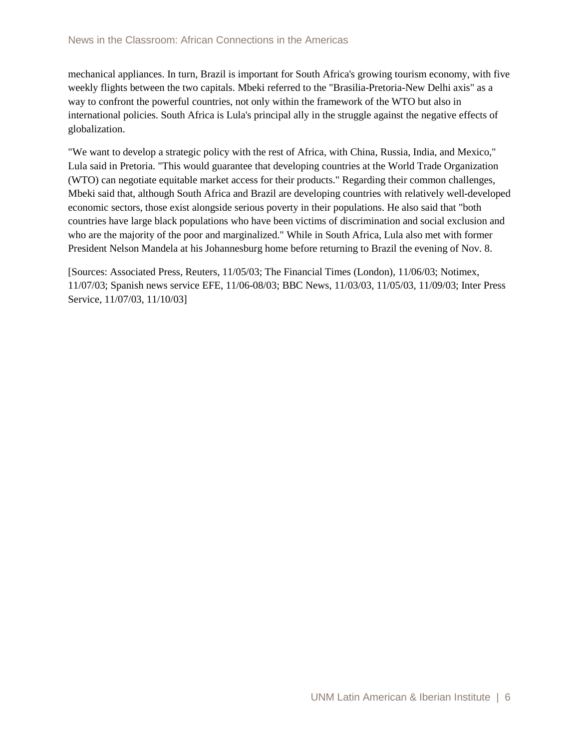mechanical appliances. In turn, Brazil is important for South Africa's growing tourism economy, with five weekly flights between the two capitals. Mbeki referred to the "Brasilia-Pretoria-New Delhi axis" as a way to confront the powerful countries, not only within the framework of the WTO but also in international policies. South Africa is Lula's principal ally in the struggle against the negative effects of globalization.

"We want to develop a strategic policy with the rest of Africa, with China, Russia, India, and Mexico," Lula said in Pretoria. "This would guarantee that developing countries at the World Trade Organization (WTO) can negotiate equitable market access for their products." Regarding their common challenges, Mbeki said that, although South Africa and Brazil are developing countries with relatively well-developed economic sectors, those exist alongside serious poverty in their populations. He also said that "both countries have large black populations who have been victims of discrimination and social exclusion and who are the majority of the poor and marginalized." While in South Africa, Lula also met with former President Nelson Mandela at his Johannesburg home before returning to Brazil the evening of Nov. 8.

[Sources: Associated Press, Reuters, 11/05/03; The Financial Times (London), 11/06/03; Notimex, 11/07/03; Spanish news service EFE, 11/06-08/03; BBC News, 11/03/03, 11/05/03, 11/09/03; Inter Press Service, 11/07/03, 11/10/03]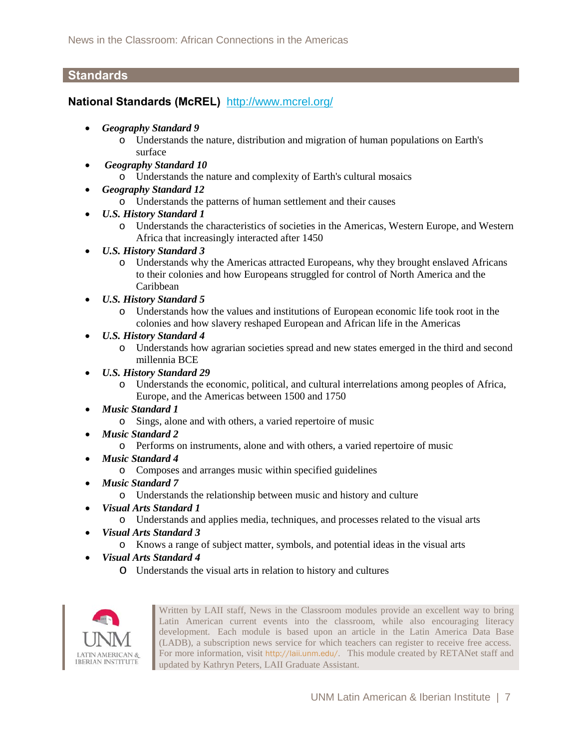## **Standards**

## **National Standards (McREL)** <http://www.mcrel.org/>

- *Geography Standard 9*
	- o Understands the nature, distribution and migration of human populations on Earth's surface
- • *Geography Standard 10* 
	- o Understands the nature and complexity of Earth's cultural mosaics
- *Geography Standard 12*
	- o Understands the patterns of human settlement and their causes
- *U.S. History Standard 1* 
	- o Understands the characteristics of societies in the Americas, Western Europe, and Western Africa that increasingly interacted after 1450
- *U.S. History Standard 3* 
	- o Understands why the Americas attracted Europeans, why they brought enslaved Africans to their colonies and how Europeans struggled for control of North America and the Caribbean
- *U.S. History Standard 5* 
	- o Understands how the values and institutions of European economic life took root in the colonies and how slavery reshaped European and African life in the Americas
- *U.S. History Standard 4* 
	- o Understands how agrarian societies spread and new states emerged in the third and second millennia BCE
- *U.S. History Standard 29* 
	- o Understands the economic, political, and cultural interrelations among peoples of Africa, Europe, and the Americas between 1500 and 1750
- *Music Standard 1*
	- o Sings, alone and with others, a varied repertoire of music
- *Music Standard 2*
	- o Performs on instruments, alone and with others, a varied repertoire of music
- *Music Standard 4*
	- o Composes and arranges music within specified guidelines
- *Music Standard 7*
	- o Understands the relationship between music and history and culture
- *Visual Arts Standard 1* 
	- o Understands and applies media, techniques, and processes related to the visual arts
- *Visual Arts Standard 3* 
	- o Knows a range of subject matter, symbols, and potential ideas in the visual arts
- *Visual Arts Standard 4* 
	- o Understands the visual arts in relation to history and cultures



Written by LAII staff, News in the Classroom modules provide an excellent way to bring Latin American current events into the classroom, while also encouraging literacy development. Each module is based upon an article in the Latin America Data Base (LADB), a subscription news service for which teachers can register to receive free access. For more information, visit <http://laii.unm.edu/>. This module created by RETANet staff and updated by Kathryn Peters, LAII Graduate Assistant.